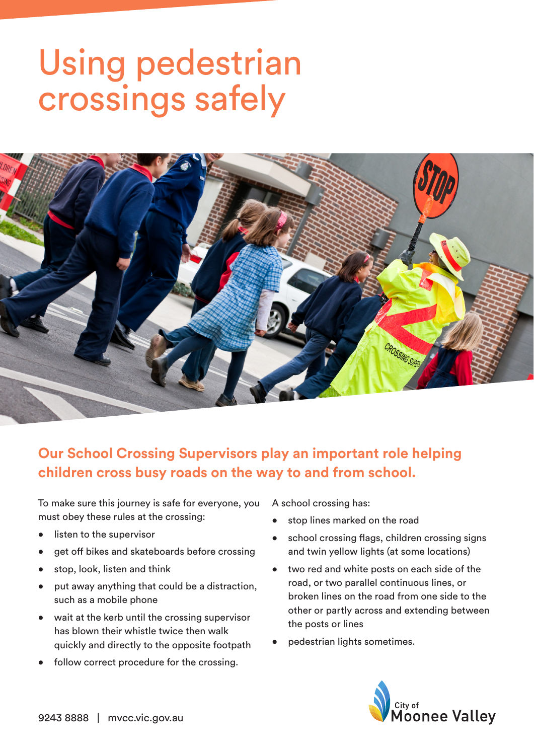# Using pedestrian crossings safely



# **Our School Crossing Supervisors play an important role helping children cross busy roads on the way to and from school.**

To make sure this journey is safe for everyone, you must obey these rules at the crossing:

- listen to the supervisor
- get off bikes and skateboards before crossing
- stop, look, listen and think
- put away anything that could be a distraction, such as a mobile phone
- wait at the kerb until the crossing supervisor has blown their whistle twice then walk quickly and directly to the opposite footpath
- follow correct procedure for the crossing.

A school crossing has:

- stop lines marked on the road
- school crossing flags, children crossing signs and twin yellow lights (at some locations)
- two red and white posts on each side of the road, or two parallel continuous lines, or broken lines on the road from one side to the other or partly across and extending between the posts or lines
- pedestrian lights sometimes.